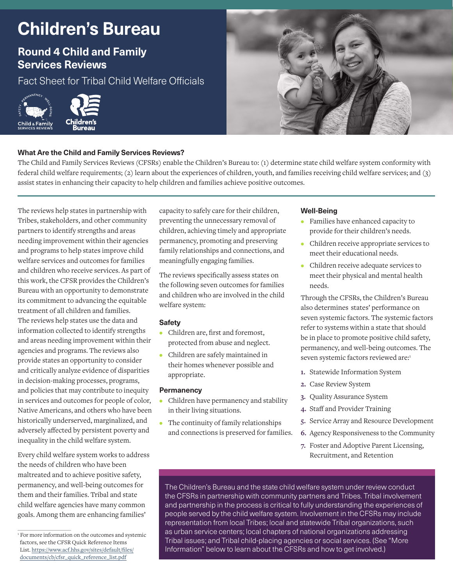# **Children's Bureau**

## **Round 4 Child and Family Services Reviews**

Fact Sheet for Tribal Child Welfare Officials





#### **What Are the Child and Family Services Reviews?**

The Child and Family Services Reviews (CFSRs) enable the Children's Bureau to: (1) determine state child welfare system conformity with federal child welfare requirements; (2) learn about the experiences of children, youth, and families receiving child welfare services; and (3) assist states in enhancing their capacity to help children and families achieve positive outcomes.

The reviews help states in partnership with Tribes, stakeholders, and other community partners to identify strengths and areas needing improvement within their agencies and programs to help states improve child welfare services and outcomes for families and children who receive services. As part of this work, the CFSR provides the Children's Bureau with an opportunity to demonstrate its commitment to advancing the equitable treatment of all children and families. The reviews help states use the data and information collected to identify strengths and areas needing improvement within their agencies and programs. The reviews also provide states an opportunity to consider and critically analyze evidence of disparities in decision-making processes, programs, and policies that may contribute to inequity in services and outcomes for people of color, Native Americans, and others who have been historically underserved, marginalized, and adversely affected by persistent poverty and inequality in the child welfare system.

Every child welfare system works to address the needs of children who have been maltreated and to achieve positive safety, permanency, and well-being outcomes for them and their families. Tribal and state child welfare agencies have many common goals. Among them are enhancing families'

capacity to safely care for their children, preventing the unnecessary removal of children, achieving timely and appropriate permanency, promoting and preserving family relationships and connections, and meaningfully engaging families.

The reviews specifically assess states on the following seven outcomes for families and children who are involved in the child welfare system:

#### **Safety**

- **•** Children are, first and foremost, protected from abuse and neglect.
- **•** Children are safely maintained in their homes whenever possible and appropriate.

#### **Permanency**

- **•** Children have permanency and stability in their living situations.
- **•** The continuity of family relationships and connections is preserved for families.

#### **Well-Being**

- **•** Families have enhanced capacity to provide for their children's needs.
- **•** Children receive appropriate services to meet their educational needs.
- **•** Children receive adequate services to meet their physical and mental health needs.

Through the CFSRs, the Children's Bureau also determines states' performance on seven systemic factors. The systemic factors refer to systems within a state that should be in place to promote positive child safety, permanency, and well-being outcomes. The seven systemic factors reviewed are:1

- **1.** Statewide Information System
- **2.** Case Review System
- **3.** Quality Assurance System
- **4.** Staff and Provider Training
- **5.** Service Array and Resource Development
- **6.** Agency Responsiveness to the Community
- **7.** Foster and Adoptive Parent Licensing, Recruitment, and Retention

The Children's Bureau and the state child welfare system under review conduct the CFSRs in partnership with community partners and Tribes. Tribal involvement and partnership in the process is critical to fully understanding the experiences of people served by the child welfare system. Involvement in the CFSRs may include representation from local Tribes; local and statewide Tribal organizations, such as urban service centers; local chapters of national organizations addressing Tribal issues; and Tribal child-placing agencies or social services. (See "More Information" below to learn about the CFSRs and how to get involved.)

<sup>&</sup>lt;sup>1</sup> For more information on the outcomes and systemic factors, see the CFSR Quick Reference Items [List. https://www.acf.hhs.gov/sites/default/files/](https://www.acf.hhs.gov/sites/default/files/documents/cb/cfsr_quick_reference_list.pdf) documents/cb/cfsr\_quick\_reference\_list.pdf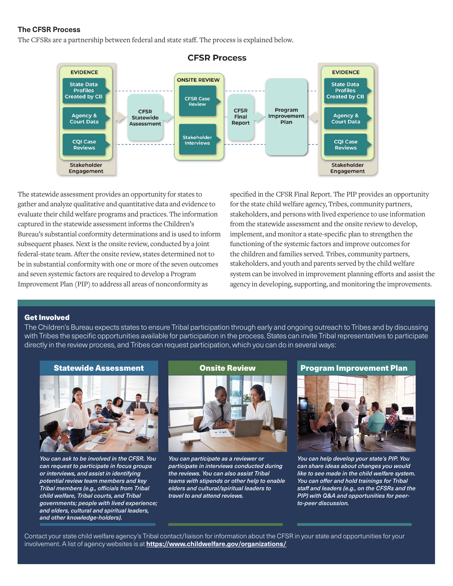#### **The CFSR Process**

The CFSRs are a partnership between federal and state staff. The process is explained below.



The statewide assessment provides an opportunity for states to gather and analyze qualitative and quantitative data and evidence to evaluate their child welfare programs and practices. The information captured in the statewide assessment informs the Children's Bureau's substantial conformity determinations and is used to inform subsequent phases. Next is the onsite review, conducted by a joint federal-state team. After the onsite review, states determined not to be in substantial conformity with one or more of the seven outcomes and seven systemic factors are required to develop a Program Improvement Plan (PIP) to address all areas of nonconformity as

specified in the CFSR Final Report. The PIP provides an opportunity for the state child welfare agency, Tribes, community partners, stakeholders, and personswith lived experience to use information from the statewide assessment and the onsite review to develop, implement, and monitor a state-specific plan to strengthen the functioning of the systemic factors and improve outcomes for the children and families served. Tribes, community partners, stakeholders, and youth and parents served by the child welfare system can be involved in improvement planning efforts and assist the agency in developing, supporting, and monitoring the improvements.

#### Get Involved

The Children's Bureau expects states to ensure Tribal participation through early and ongoing outreach to Tribes and by discussing with Tribes the specific opportunities available for participation in the process. States can invite Tribal representatives to participate directly in the review process, and Tribes can request participation, which you can do in several ways:





*You can ask to be involved in the CFSR. You can request to participate in focus groups or interviews, and assist in identifying potential review team members and key Tribal members (e.g., officials from Tribal child welfare, Tribal courts, and Tribal governments; people with lived experience; and elders, cultural and spiritual leaders, and other knowledge-holders).*



*You can participate as a reviewer or participate in interviews conducted during the reviews. You can also assist Tribal teams with stipends or other help to enable elders and cultural/spiritual leaders to travel to and attend reviews.*



*You can help develop your state's PIP. You can share ideas about changes you would like to see made in the child welfare system. You can offer and hold trainings for Tribal staff and leaders (e.g., on the CFSRs and the PIP) with Q&A and opportunities for peerto-peer discussion.*

Contact your state child welfare agency's Tribal contact/liaison for information about the CFSR in your state and opportunities for your involvement. A list of agency websites is at **<https://www.childwelfare.gov/organizations/>**